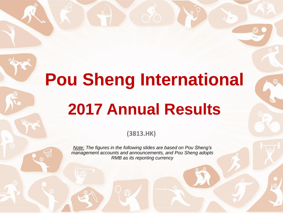# **Pou Sheng International 2017 Annual Results**

**(3813.HK)**

*Note: The figures in the following slides are based on Pou Sheng's management accounts and announcements, and Pou Sheng adopts RMB as its reporting currency*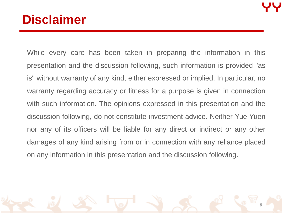1

1

#### **Disclaimer**

While every care has been taken in preparing the information in this presentation and the discussion following, such information is provided "as is" without warranty of any kind, either expressed or implied. In particular, no warranty regarding accuracy or fitness for a purpose is given in connection with such information. The opinions expressed in this presentation and the discussion following, do not constitute investment advice. Neither Yue Yuen nor any of its officers will be liable for any direct or indirect or any other damages of any kind arising from or in connection with any reliance placed on any information in this presentation and the discussion following.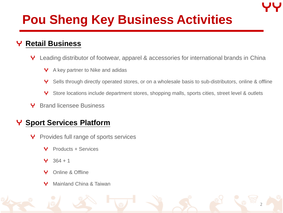## **Pou Sheng Key Business Activities**

#### **Retail Business** Υ

- Leading distributor of footwear, apparel & accessories for international brands in China Y
	- A key partner to Nike and adidas Y.
	- Υ Sells through directly operated stores, or on a wholesale basis to sub-distributors, online & offline

2

- Υ Store locations include department stores, shopping malls, sports cities, street level & outlets
- Y Brand licensee Business

#### **Y** Sport Services Platform

- Provides full range of sports services Y
	- Products + Services Υ
	- $364 + 1$ Υ
	- Online & Offline Υ
	- Mainland China & TaiwanΥ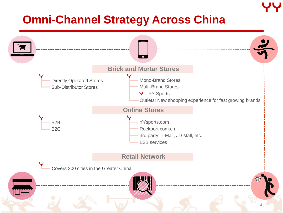#### **Omni-Channel Strategy Across China**

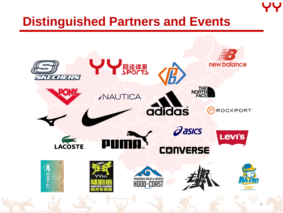#### **Distinguished Partners and Events**

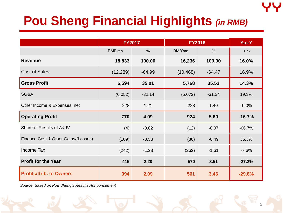## **Pou Sheng Financial Highlights** *(in RMB)*

|                                     | <b>FY2017</b> |               | <b>FY2016</b> |          | $Y$ -o- $Y$ |
|-------------------------------------|---------------|---------------|---------------|----------|-------------|
|                                     | RMB'mn        | $\frac{0}{0}$ | RMB'mn        | $\%$     | $+$ / -     |
| <b>Revenue</b>                      | 18,833        | 100.00        | 16,236        | 100.00   | 16.0%       |
| <b>Cost of Sales</b>                | (12, 239)     | $-64.99$      | (10, 468)     | $-64.47$ | 16.9%       |
| <b>Gross Profit</b>                 | 6,594         | 35.01         | 5,768         | 35.53    | 14.3%       |
| SG&A                                | (6,052)       | $-32.14$      | (5,072)       | $-31.24$ | 19.3%       |
| Other Income & Expenses, net        | 228           | 1.21          | 228           | 1.40     | $-0.0%$     |
| <b>Operating Profit</b>             | 770           | 4.09          | 924           | 5.69     | $-16.7%$    |
| Share of Results of A&JV            | (4)           | $-0.02$       | (12)          | $-0.07$  | $-66.7%$    |
| Finance Cost & Other Gains/(Losses) | (109)         | $-0.58$       | (80)          | $-0.49$  | 36.3%       |
| Income Tax                          | (242)         | $-1.28$       | (262)         | $-1.61$  | $-7.6%$     |
| <b>Profit for the Year</b>          | 415           | 2.20          | 570           | 3.51     | $-27.2%$    |
| <b>Profit attrib. to Owners</b>     | 394           | 2.09          | 561           | 3.46     | $-29.8%$    |

*Source: Based on Pou Sheng's Results Announcement*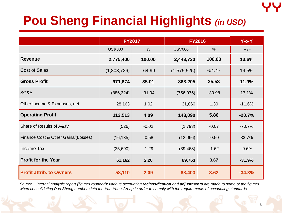## **Pou Sheng Financial Highlights** *(in USD)*

|                                     | <b>FY2017</b>   |               | <b>FY2016</b>   |               | $Y$ -o- $Y$ |
|-------------------------------------|-----------------|---------------|-----------------|---------------|-------------|
|                                     | <b>US\$'000</b> | $\frac{0}{0}$ | <b>US\$'000</b> | $\frac{0}{0}$ | $+$ / -     |
| <b>Revenue</b>                      | 2,775,400       | 100.00        | 2,443,730       | 100.00        | 13.6%       |
| <b>Cost of Sales</b>                | (1,803,726)     | $-64.99$      | (1,575,525)     | $-64.47$      | 14.5%       |
| <b>Gross Profit</b>                 | 971,674         | 35.01         | 868,205         | 35.53         | 11.9%       |
| SG&A                                | (886, 324)      | $-31.94$      | (756, 975)      | $-30.98$      | 17.1%       |
| Other Income & Expenses, net        | 28,163          | 1.02          | 31,860          | 1.30          | $-11.6%$    |
| <b>Operating Profit</b>             | 113,513         | 4.09          | 143,090         | 5.86          | $-20.7%$    |
| Share of Results of A&JV            | (526)           | $-0.02$       | (1,793)         | $-0.07$       | $-70.7%$    |
| Finance Cost & Other Gains/(Losses) | (16, 135)       | $-0.58$       | (12,066)        | $-0.50$       | 33.7%       |
| <b>Income Tax</b>                   | (35,690)        | $-1.29$       | (39, 468)       | $-1.62$       | $-9.6%$     |
| <b>Profit for the Year</b>          | 61,162          | 2.20          | 89,763          | 3.67          | $-31.9%$    |
| <b>Profit attrib. to Owners</b>     | 58,110          | 2.09          | 88,403          | 3.62          | $-34.3%$    |

*Source : Internal analysis report (figures rounded); various accounting reclassification and adjustments are made to some of the figures when consolidating Pou Sheng numbers into the Yue Yuen Group in order to comply with the requirements of accounting standards*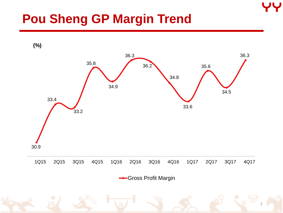#### **Pou Sheng GP Margin Trend**

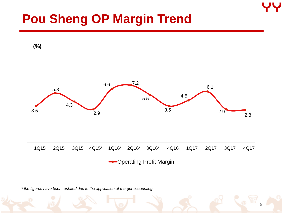#### **Pou Sheng OP Margin Trend**



*\* the figures have been restated due to the application of merger accounting*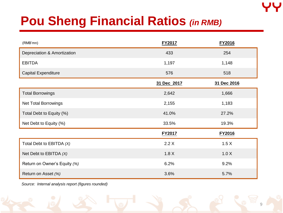#### **Pou Sheng Financial Ratios** *(in RMB)*

| (RMB'mn)                     | <b>FY2017</b> | FY2016      |
|------------------------------|---------------|-------------|
| Depreciation & Amortization  | 433           | 254         |
| <b>EBITDA</b>                | 1,197         | 1,148       |
| <b>Capital Expenditure</b>   | 576           | 518         |
|                              | 31 Dec 2017   | 31 Dec 2016 |
| <b>Total Borrowings</b>      | 2,642         | 1,666       |
| Net Total Borrowings         | 2,155         | 1,183       |
| Total Debt to Equity (%)     | 41.0%         | 27.2%       |
| Net Debt to Equity (%)       | 33.5%         | 19.3%       |
|                              | <b>FY2017</b> | FY2016      |
| Total Debt to EBITDA (X)     | 2.2X          | 1.5 X       |
| Net Debt to EBITDA $(X)$     | 1.8X          | 1.0 X       |
| Return on Owner's Equity (%) | 6.2%          | 9.2%        |
| Return on Asset (%)          | 3.6%          | 5.7%        |

*Source: Internal analysis report (figures rounded)*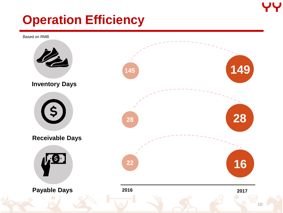

#### **Operation Efficiency**

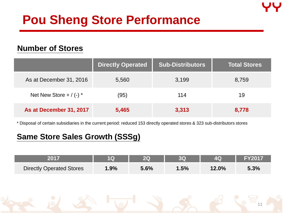#### **Pou Sheng Store Performance**

#### **Number of Stores**

|                             | <b>Directly Operated</b> | <b>Sub-Distributors</b> | <b>Total Stores</b> |
|-----------------------------|--------------------------|-------------------------|---------------------|
| As at December 31, 2016     | 5,560                    | 3,199                   | 8,759               |
| Net New Store + $/$ (-) $*$ | (95)                     | 114                     | 19                  |
| As at December 31, 2017     | 5,465                    | 3,313                   | 8,778               |

\* Disposal of certain subsidiaries in the current period: reduced 153 directly operated stores & 323 sub-distributors stores

#### **Same Store Sales Growth (SSSg)**

| 2017                            |         |      |      |          | <b>FY2017</b> |
|---------------------------------|---------|------|------|----------|---------------|
| <b>Directly Operated Stores</b> | $1.9\%$ | 5.6% | 1.5% | $12.0\%$ | 5.3%          |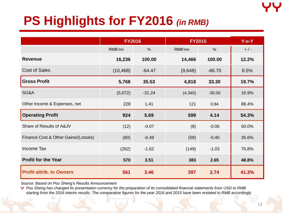## **PS Highlights for FY2016** *(in RMB)*

|                                     | <b>FY2016</b> |               | <b>FY2015</b> |          | $Y$ -o- $Y$ |
|-------------------------------------|---------------|---------------|---------------|----------|-------------|
|                                     | RMB'mn        | $\frac{0}{0}$ | RMB'mn        | $\%$     | $+$ / -     |
| <b>Revenue</b>                      | 16,236        | 100.00        | 14,466        | 100.00   | 12.2%       |
| <b>Cost of Sales</b>                | (10, 468)     | $-64.47$      | (9,648)       | $-66.70$ | 8.5%        |
| <b>Gross Profit</b>                 | 5,768         | 35.53         | 4,818         | 33.30    | 19.7%       |
| SG&A                                | (5,072)       | $-31.24$      | (4,340)       | $-30.00$ | 16.9%       |
| Other Income & Expenses, net        | 228           | 1.41          | 121           | 0.84     | 88.4%       |
| <b>Operating Profit</b>             | 924           | 5.69          | 599           | 4.14     | 54.3%       |
| Share of Results of A&JV            | (12)          | $-0.07$       | (8)           | $-0.06$  | 50.0%       |
| Finance Cost & Other Gains/(Losses) | (80)          | $-0.49$       | (59)          | $-0.40$  | 35.6%       |
| <b>Income Tax</b>                   | (262)         | $-1.62$       | (149)         | $-1.03$  | 75.8%       |
| <b>Profit for the Year</b>          | 570           | 3.51          | 383           | 2.65     | 48.8%       |
| <b>Profit attrib. to Owners</b>     | 561           | 3.46          | 397           | 2.74     | 41.3%       |

*Source: Based on Pou Sheng's Results Announcement*

**P** Pou Sheng has changed its presentation currency for the preparation of its consolidated financial statements from USD to RMB *starting from the 2016 interim results. The comparative figures for the year 2016 and 2015 have been restated to RMB accordingly*